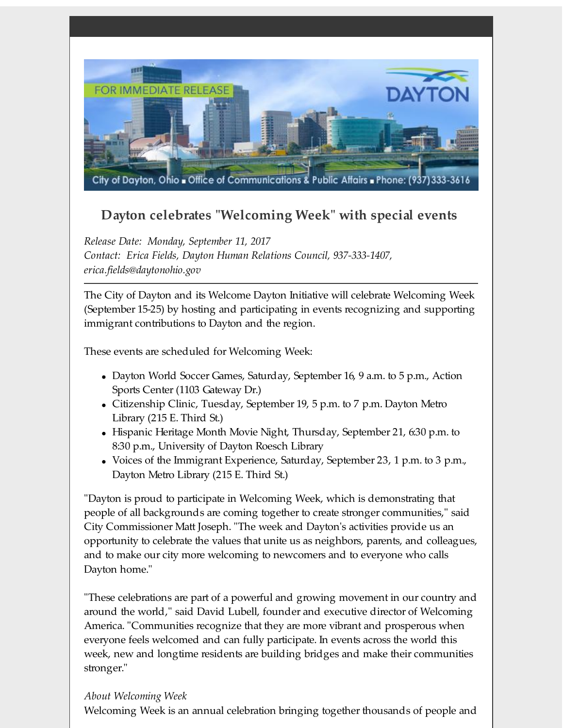

## **Dayton celebrates "Welcoming Week" with special events**

*Release Date: Monday, September 11, 2017 Contact: Erica Fields, Dayton Human Relations Council, 937-333-1407, erica.fields@daytonohio.gov*

The City of Dayton and its Welcome Dayton Initiative will celebrate Welcoming Week (September 15-25) by hosting and participating in events recognizing and supporting immigrant contributions to Dayton and the region.

These events are scheduled for Welcoming Week:

- Dayton World Soccer Games, Saturday, September 16, 9 a.m. to 5 p.m., Action Sports Center (1103 Gateway Dr.)
- Citizenship Clinic, Tuesday, September 19, 5 p.m. to 7 p.m. Dayton Metro Library (215 E. Third St.)
- $\bullet$  Hispanic Heritage Month Movie Night, Thursday, September 21, 6:30 p.m. to 8:30 p.m., University of Dayton Roesch Library
- Voices of the Immigrant Experience, Saturday, September 23, 1 p.m. to 3 p.m., Dayton Metro Library (215 E. Third St.)

"Dayton is proud to participate in Welcoming Week, which is demonstrating that people of all backgrounds are coming together to create stronger communities," said City Commissioner Matt Joseph. "The week and Dayton's activities provide us an opportunity to celebrate the values that unite us as neighbors, parents, and colleagues, and to make our city more welcoming to newcomers and to everyone who calls Dayton home."

"These celebrations are part of a powerful and growing movement in our country and around the world," said David Lubell, founder and executive director of Welcoming America. "Communities recognize that they are more vibrant and prosperous when everyone feels welcomed and can fully participate. In events across the world this week, new and longtime residents are building bridges and make their communities stronger."

## *About Welcoming Week*

Welcoming Week is an annual celebration bringing together thousands of people and